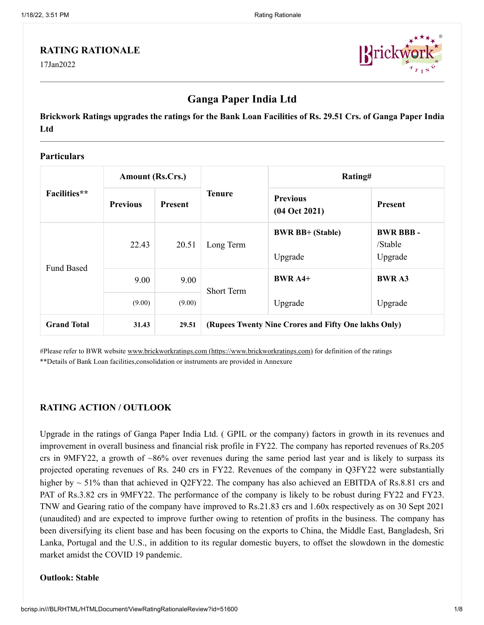## **RATING RATIONALE**

17Jan2022



# **Ganga Paper India Ltd**

**Brickwork Ratings upgrades the ratings for the Bank Loan Facilities of Rs. 29.51 Crs. of Ganga Paper India Ltd**

## **Particulars**

| Facilities**       | <b>Amount (Rs.Crs.)</b> |                |                                                      | Rating#                            |                                       |  |
|--------------------|-------------------------|----------------|------------------------------------------------------|------------------------------------|---------------------------------------|--|
|                    | <b>Previous</b>         | <b>Present</b> | <b>Tenure</b>                                        | <b>Previous</b><br>$(04$ Oct 2021) | <b>Present</b>                        |  |
| <b>Fund Based</b>  | 22.43                   | 20.51          | Long Term                                            | <b>BWR BB+ (Stable)</b><br>Upgrade | <b>BWR BBB-</b><br>/Stable<br>Upgrade |  |
|                    | 9.00                    | 9.00           | <b>Short Term</b>                                    | <b>BWR A4+</b>                     | <b>BWRA3</b>                          |  |
|                    | (9.00)                  | (9.00)         |                                                      | Upgrade                            | Upgrade                               |  |
| <b>Grand Total</b> | 31.43                   | 29.51          | (Rupees Twenty Nine Crores and Fifty One lakhs Only) |                                    |                                       |  |

#Please refer to BWR website [www.brickworkratings.com \(https://www.brickworkratings.com\)](https://www.brickworkratings.com/) for definition of the ratings \*\*Details of Bank Loan facilities,consolidation or instruments are provided in Annexure

## **RATING ACTION / OUTLOOK**

Upgrade in the ratings of Ganga Paper India Ltd. ( GPIL or the company) factors in growth in its revenues and improvement in overall business and financial risk profile in FY22. The company has reported revenues of Rs.205 crs in 9MFY22, a growth of ~86% over revenues during the same period last year and is likely to surpass its projected operating revenues of Rs. 240 crs in FY22. Revenues of the company in Q3FY22 were substantially higher by  $\sim$  51% than that achieved in O2FY22. The company has also achieved an EBITDA of Rs.8.81 crs and PAT of Rs.3.82 crs in 9MFY22. The performance of the company is likely to be robust during FY22 and FY23. TNW and Gearing ratio of the company have improved to Rs.21.83 crs and 1.60x respectively as on 30 Sept 2021 (unaudited) and are expected to improve further owing to retention of profits in the business. The company has been diversifying its client base and has been focusing on the exports to China, the Middle East, Bangladesh, Sri Lanka, Portugal and the U.S., in addition to its regular domestic buyers, to offset the slowdown in the domestic market amidst the COVID 19 pandemic.

#### **Outlook: Stable**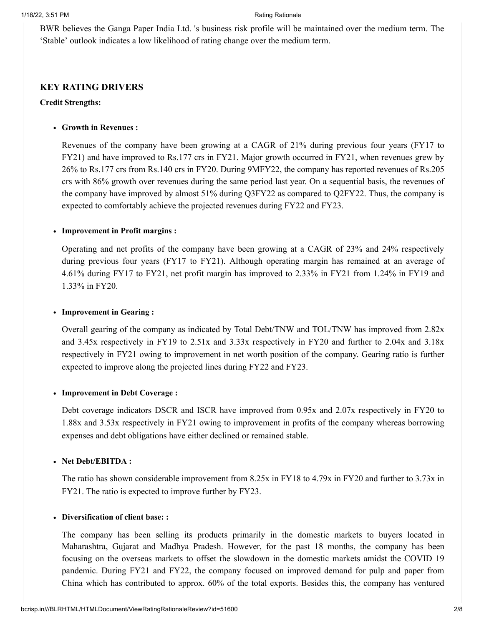BWR believes the Ganga Paper India Ltd. 's business risk profile will be maintained over the medium term. The 'Stable' outlook indicates a low likelihood of rating change over the medium term.

## **KEY RATING DRIVERS**

#### **Credit Strengths:**

#### **Growth in Revenues :**

Revenues of the company have been growing at a CAGR of 21% during previous four years (FY17 to FY21) and have improved to Rs.177 crs in FY21. Major growth occurred in FY21, when revenues grew by 26% to Rs.177 crs from Rs.140 crs in FY20. During 9MFY22, the company has reported revenues of Rs.205 crs with 86% growth over revenues during the same period last year. On a sequential basis, the revenues of the company have improved by almost 51% during Q3FY22 as compared to Q2FY22. Thus, the company is expected to comfortably achieve the projected revenues during FY22 and FY23.

#### **Improvement in Profit margins :**

Operating and net profits of the company have been growing at a CAGR of 23% and 24% respectively during previous four years (FY17 to FY21). Although operating margin has remained at an average of 4.61% during FY17 to FY21, net profit margin has improved to 2.33% in FY21 from 1.24% in FY19 and 1.33% in FY20.

#### **Improvement in Gearing :**

Overall gearing of the company as indicated by Total Debt/TNW and TOL/TNW has improved from 2.82x and 3.45x respectively in FY19 to 2.51x and 3.33x respectively in FY20 and further to 2.04x and 3.18x respectively in FY21 owing to improvement in net worth position of the company. Gearing ratio is further expected to improve along the projected lines during FY22 and FY23.

#### **Improvement in Debt Coverage :**

Debt coverage indicators DSCR and ISCR have improved from 0.95x and 2.07x respectively in FY20 to 1.88x and 3.53x respectively in FY21 owing to improvement in profits of the company whereas borrowing expenses and debt obligations have either declined or remained stable.

#### **Net Debt/EBITDA :**

The ratio has shown considerable improvement from 8.25x in FY18 to 4.79x in FY20 and further to 3.73x in FY21. The ratio is expected to improve further by FY23.

#### **Diversification of client base: :**

The company has been selling its products primarily in the domestic markets to buyers located in Maharashtra, Gujarat and Madhya Pradesh. However, for the past 18 months, the company has been focusing on the overseas markets to offset the slowdown in the domestic markets amidst the COVID 19 pandemic. During FY21 and FY22, the company focused on improved demand for pulp and paper from China which has contributed to approx. 60% of the total exports. Besides this, the company has ventured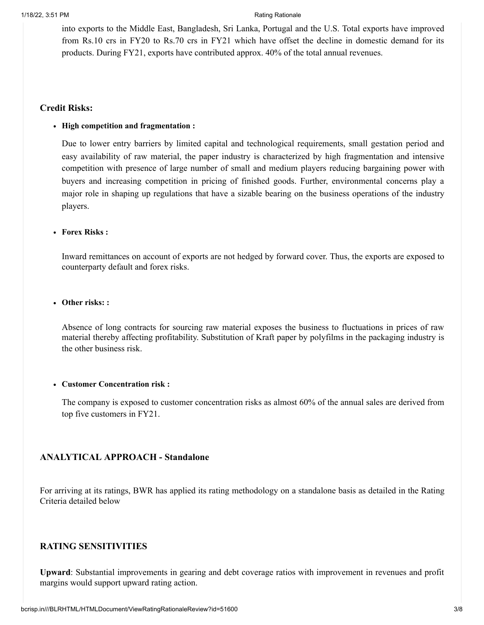into exports to the Middle East, Bangladesh, Sri Lanka, Portugal and the U.S. Total exports have improved from Rs.10 crs in FY20 to Rs.70 crs in FY21 which have offset the decline in domestic demand for its products. During FY21, exports have contributed approx. 40% of the total annual revenues.

### **Credit Risks:**

#### **High competition and fragmentation :**

Due to lower entry barriers by limited capital and technological requirements, small gestation period and easy availability of raw material, the paper industry is characterized by high fragmentation and intensive competition with presence of large number of small and medium players reducing bargaining power with buyers and increasing competition in pricing of finished goods. Further, environmental concerns play a major role in shaping up regulations that have a sizable bearing on the business operations of the industry players.

#### **Forex Risks :**

Inward remittances on account of exports are not hedged by forward cover. Thus, the exports are exposed to counterparty default and forex risks.

#### **Other risks: :**

Absence of long contracts for sourcing raw material exposes the business to fluctuations in prices of raw material thereby affecting profitability. Substitution of Kraft paper by polyfilms in the packaging industry is the other business risk.

#### **Customer Concentration risk :**

The company is exposed to customer concentration risks as almost 60% of the annual sales are derived from top five customers in FY21.

## **ANALYTICAL APPROACH - Standalone**

For arriving at its ratings, BWR has applied its rating methodology on a standalone basis as detailed in the Rating Criteria detailed below

## **RATING SENSITIVITIES**

**Upward**: Substantial improvements in gearing and debt coverage ratios with improvement in revenues and profit margins would support upward rating action.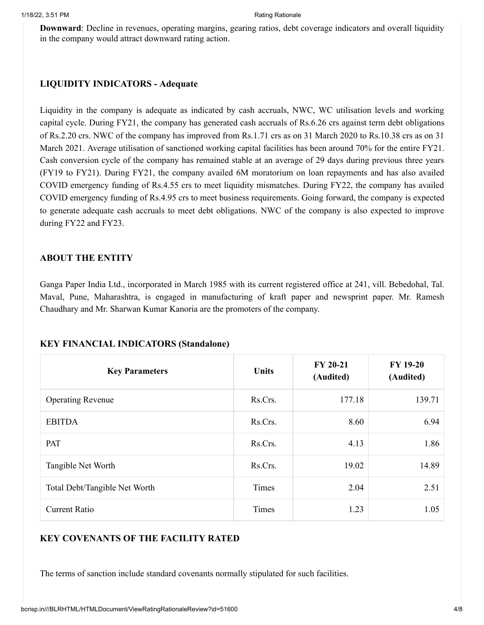**Downward**: Decline in revenues, operating margins, gearing ratios, debt coverage indicators and overall liquidity in the company would attract downward rating action.

## **LIQUIDITY INDICATORS - Adequate**

Liquidity in the company is adequate as indicated by cash accruals, NWC, WC utilisation levels and working capital cycle. During FY21, the company has generated cash accruals of Rs.6.26 crs against term debt obligations of Rs.2.20 crs. NWC of the company has improved from Rs.1.71 crs as on 31 March 2020 to Rs.10.38 crs as on 31 March 2021. Average utilisation of sanctioned working capital facilities has been around 70% for the entire FY21. Cash conversion cycle of the company has remained stable at an average of 29 days during previous three years (FY19 to FY21). During FY21, the company availed 6M moratorium on loan repayments and has also availed COVID emergency funding of Rs.4.55 crs to meet liquidity mismatches. During FY22, the company has availed COVID emergency funding of Rs.4.95 crs to meet business requirements. Going forward, the company is expected to generate adequate cash accruals to meet debt obligations. NWC of the company is also expected to improve during FY22 and FY23.

## **ABOUT THE ENTITY**

Ganga Paper India Ltd., incorporated in March 1985 with its current registered office at 241, vill. Bebedohal, Tal. Maval, Pune, Maharashtra, is engaged in manufacturing of kraft paper and newsprint paper. Mr. Ramesh Chaudhary and Mr. Sharwan Kumar Kanoria are the promoters of the company.

| <b>Key Parameters</b>         | <b>Units</b> | FY 20-21<br>(Audited) | <b>FY 19-20</b><br>(Audited) |
|-------------------------------|--------------|-----------------------|------------------------------|
| <b>Operating Revenue</b>      | Rs.Crs.      | 177.18                | 139.71                       |
| <b>EBITDA</b>                 | Rs.Crs.      | 8.60                  | 6.94                         |
| PAT                           | Rs.Crs.      | 4.13                  | 1.86                         |
| Tangible Net Worth            | Rs.Crs.      | 19.02                 | 14.89                        |
| Total Debt/Tangible Net Worth | Times        | 2.04                  | 2.51                         |
| <b>Current Ratio</b>          | Times        | 1.23                  | 1.05                         |

## **KEY FINANCIAL INDICATORS (Standalone)**

# **KEY COVENANTS OF THE FACILITY RATED**

The terms of sanction include standard covenants normally stipulated for such facilities.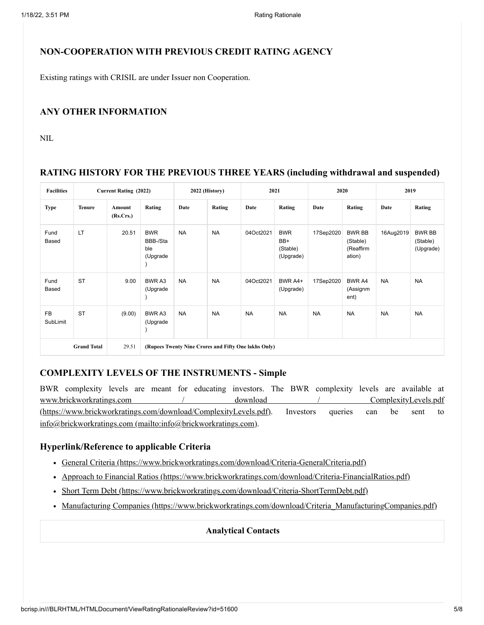## **NON-COOPERATION WITH PREVIOUS CREDIT RATING AGENCY**

Existing ratings with CRISIL are under Issuer non Cooperation.

#### **ANY OTHER INFORMATION**

NIL.

## **RATING HISTORY FOR THE PREVIOUS THREE YEARS (including withdrawal and suspended)**

| <b>Facilities</b>           |               | <b>Current Rating (2022)</b> |                                           |           | 2022 (History) |                                                      | 2021                                       | 2020      |                                                  |           | 2019                                   |
|-----------------------------|---------------|------------------------------|-------------------------------------------|-----------|----------------|------------------------------------------------------|--------------------------------------------|-----------|--------------------------------------------------|-----------|----------------------------------------|
| Type                        | <b>Tenure</b> | Amount<br>(Rs.Crs.)          | Rating                                    | Date      | Rating         | Date                                                 | Rating                                     | Date      | Rating                                           | Date      | Rating                                 |
| Fund<br>Based               | <b>LT</b>     | 20.51                        | <b>BWR</b><br>BBB-/Sta<br>ble<br>(Upgrade | <b>NA</b> | <b>NA</b>      | 04Oct2021                                            | <b>BWR</b><br>BB+<br>(Stable)<br>(Upgrade) | 17Sep2020 | <b>BWR BB</b><br>(Stable)<br>(Reaffirm<br>ation) | 16Aug2019 | <b>BWR BB</b><br>(Stable)<br>(Upgrade) |
| Fund<br>Based               | <b>ST</b>     | 9.00                         | BWR A3<br>(Upgrade                        | <b>NA</b> | <b>NA</b>      | 04Oct2021                                            | BWR A4+<br>(Upgrade)                       | 17Sep2020 | BWR A4<br>(Assignm<br>ent)                       | <b>NA</b> | <b>NA</b>                              |
| <b>FB</b><br>SubLimit       | <b>ST</b>     | (9.00)                       | BWR A3<br>(Upgrade                        | <b>NA</b> | <b>NA</b>      | <b>NA</b>                                            | <b>NA</b>                                  | <b>NA</b> | <b>NA</b>                                        | <b>NA</b> | <b>NA</b>                              |
| <b>Grand Total</b><br>29.51 |               |                              |                                           |           |                | (Rupees Twenty Nine Crores and Fifty One lakhs Only) |                                            |           |                                                  |           |                                        |

## **COMPLEXITY LEVELS OF THE INSTRUMENTS - Simple**

BWR complexity levels are meant for educating investors. The BWR complexity levels are available at [www.brickworkratings.com / download / ComplexityLevels.pdf](https://www.brickworkratings.com/download/ComplexityLevels.pdf) (https://www.brickworkratings.com/download/ComplexityLevels.pdf). Investors queries can be sent to [info@brickworkratings.com \(mailto:info@brickworkratings.com\)](mailto:info@brickworkratings.com).

#### **Hyperlink/Reference to applicable Criteria**

- [General Criteria \(https://www.brickworkratings.com/download/Criteria-GeneralCriteria.pdf\)](https://www.brickworkratings.com/download/Criteria-GeneralCriteria.pdf)
- [Approach to Financial Ratios \(https://www.brickworkratings.com/download/Criteria-FinancialRatios.pdf\)](https://www.brickworkratings.com/download/Criteria-FinancialRatios.pdf)
- [Short Term Debt \(https://www.brickworkratings.com/download/Criteria-ShortTermDebt.pdf\)](https://www.brickworkratings.com/download/Criteria-ShortTermDebt.pdf)
- [Manufacturing Companies \(https://www.brickworkratings.com/download/Criteria\\_ManufacturingCompanies.pdf\)](https://www.brickworkratings.com/download/Criteria_ManufacturingCompanies.pdf)

#### **Analytical Contacts**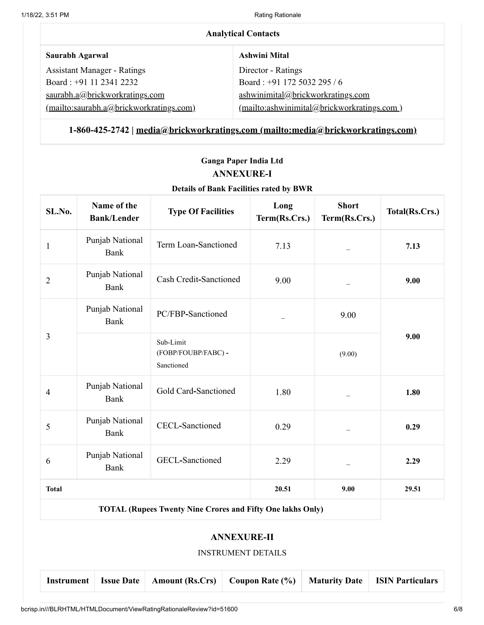| <b>Analytical Contacts</b>              |                                            |  |  |  |  |
|-----------------------------------------|--------------------------------------------|--|--|--|--|
| Saurabh Agarwal                         | <b>Ashwini Mital</b>                       |  |  |  |  |
| <b>Assistant Manager - Ratings</b>      | Director - Ratings                         |  |  |  |  |
| Board: +91 11 2341 2232                 | Board: +91 172 5032 295 / 6                |  |  |  |  |
| saurabh.a@brickworkratings.com          | ashwinimital@brickworkratings.com          |  |  |  |  |
| (mailto:saurabh.a@brickworkratings.com) | (mailto:ashwinimital@brickworkratings.com) |  |  |  |  |

# **1-860-425-2742 | [media@brickworkratings.com \(mailto:media@brickworkratings.com\)](mailto:media@brickworkratings.com)**

# **Ganga Paper India Ltd ANNEXURE-I**

## **Details of Bank Facilities rated by BWR**

| SL.No.                                                 | Name of the<br><b>Bank/Lender</b>                 | <b>Type Of Facilities</b>                                         | Long<br>Term(Rs.Crs.) | <b>Short</b><br>Term(Rs.Crs.) | Total(Rs.Crs.) |
|--------------------------------------------------------|---------------------------------------------------|-------------------------------------------------------------------|-----------------------|-------------------------------|----------------|
| $\mathbf{1}$                                           | Punjab National<br>Bank                           | Term Loan-Sanctioned                                              | 7.13                  |                               | 7.13           |
| $\overline{2}$                                         | Punjab National<br>Bank                           | Cash Credit-Sanctioned                                            | 9.00                  |                               | 9.00           |
| 3                                                      | Punjab National<br>Bank                           | PC/FBP-Sanctioned                                                 |                       | 9.00                          |                |
|                                                        |                                                   | Sub-Limit<br>(FOBP/FOUBP/FABC) -<br>Sanctioned                    |                       | (9.00)                        | 9.00           |
| $\overline{4}$                                         | Punjab National<br>Bank                           | Gold Card-Sanctioned                                              | 1.80                  |                               | 1.80           |
| 5                                                      | Punjab National<br><b>CECL-Sanctioned</b><br>Bank |                                                                   | 0.29                  |                               | 0.29           |
| Punjab National<br><b>GECL-Sanctioned</b><br>6<br>Bank |                                                   | 2.29                                                              |                       | 2.29                          |                |
| <b>Total</b>                                           |                                                   |                                                                   | 20.51                 | 9.00                          | 29.51          |
|                                                        |                                                   | <b>TOTAL (Rupees Twenty Nine Crores and Fifty One lakhs Only)</b> |                       |                               |                |
|                                                        |                                                   |                                                                   |                       |                               |                |

# **ANNEXURE-II**

### INSTRUMENT DETAILS

|  |  |  |  | Instrument   Issue Date   Amount (Rs.Crs)   Coupon Rate (%)   Maturity Date   ISIN Particulars |  |  |  |
|--|--|--|--|------------------------------------------------------------------------------------------------|--|--|--|
|--|--|--|--|------------------------------------------------------------------------------------------------|--|--|--|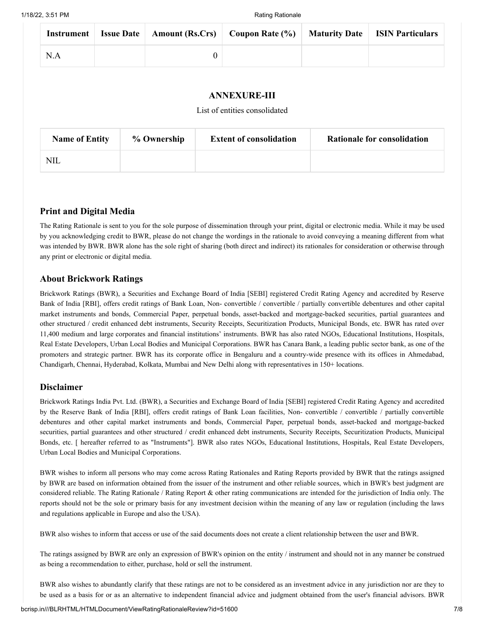|     |  | Instrument   Issue Date   Amount (Rs.Crs)   Coupon Rate (%)   Maturity Date   ISIN Particulars |  |
|-----|--|------------------------------------------------------------------------------------------------|--|
| N.A |  |                                                                                                |  |

#### **ANNEXURE-III**

#### List of entities consolidated

| <b>Name of Entity</b> | % Ownership | <b>Extent of consolidation</b> | <b>Rationale for consolidation</b> |
|-----------------------|-------------|--------------------------------|------------------------------------|
| <b>NIL</b>            |             |                                |                                    |

## **Print and Digital Media**

The Rating Rationale is sent to you for the sole purpose of dissemination through your print, digital or electronic media. While it may be used by you acknowledging credit to BWR, please do not change the wordings in the rationale to avoid conveying a meaning different from what was intended by BWR. BWR alone has the sole right of sharing (both direct and indirect) its rationales for consideration or otherwise through any print or electronic or digital media.

### **About Brickwork Ratings**

Brickwork Ratings (BWR), a Securities and Exchange Board of India [SEBI] registered Credit Rating Agency and accredited by Reserve Bank of India [RBI], offers credit ratings of Bank Loan, Non- convertible / convertible / partially convertible debentures and other capital market instruments and bonds, Commercial Paper, perpetual bonds, asset-backed and mortgage-backed securities, partial guarantees and other structured / credit enhanced debt instruments, Security Receipts, Securitization Products, Municipal Bonds, etc. BWR has rated over 11,400 medium and large corporates and financial institutions' instruments. BWR has also rated NGOs, Educational Institutions, Hospitals, Real Estate Developers, Urban Local Bodies and Municipal Corporations. BWR has Canara Bank, a leading public sector bank, as one of the promoters and strategic partner. BWR has its corporate office in Bengaluru and a country-wide presence with its offices in Ahmedabad, Chandigarh, Chennai, Hyderabad, Kolkata, Mumbai and New Delhi along with representatives in 150+ locations.

#### **Disclaimer**

Brickwork Ratings India Pvt. Ltd. (BWR), a Securities and Exchange Board of India [SEBI] registered Credit Rating Agency and accredited by the Reserve Bank of India [RBI], offers credit ratings of Bank Loan facilities, Non- convertible / convertible / partially convertible debentures and other capital market instruments and bonds, Commercial Paper, perpetual bonds, asset-backed and mortgage-backed securities, partial guarantees and other structured / credit enhanced debt instruments, Security Receipts, Securitization Products, Municipal Bonds, etc. [ hereafter referred to as "Instruments"]. BWR also rates NGOs, Educational Institutions, Hospitals, Real Estate Developers, Urban Local Bodies and Municipal Corporations.

BWR wishes to inform all persons who may come across Rating Rationales and Rating Reports provided by BWR that the ratings assigned by BWR are based on information obtained from the issuer of the instrument and other reliable sources, which in BWR's best judgment are considered reliable. The Rating Rationale / Rating Report & other rating communications are intended for the jurisdiction of India only. The reports should not be the sole or primary basis for any investment decision within the meaning of any law or regulation (including the laws and regulations applicable in Europe and also the USA).

BWR also wishes to inform that access or use of the said documents does not create a client relationship between the user and BWR.

The ratings assigned by BWR are only an expression of BWR's opinion on the entity / instrument and should not in any manner be construed as being a recommendation to either, purchase, hold or sell the instrument.

BWR also wishes to abundantly clarify that these ratings are not to be considered as an investment advice in any jurisdiction nor are they to be used as a basis for or as an alternative to independent financial advice and judgment obtained from the user's financial advisors. BWR